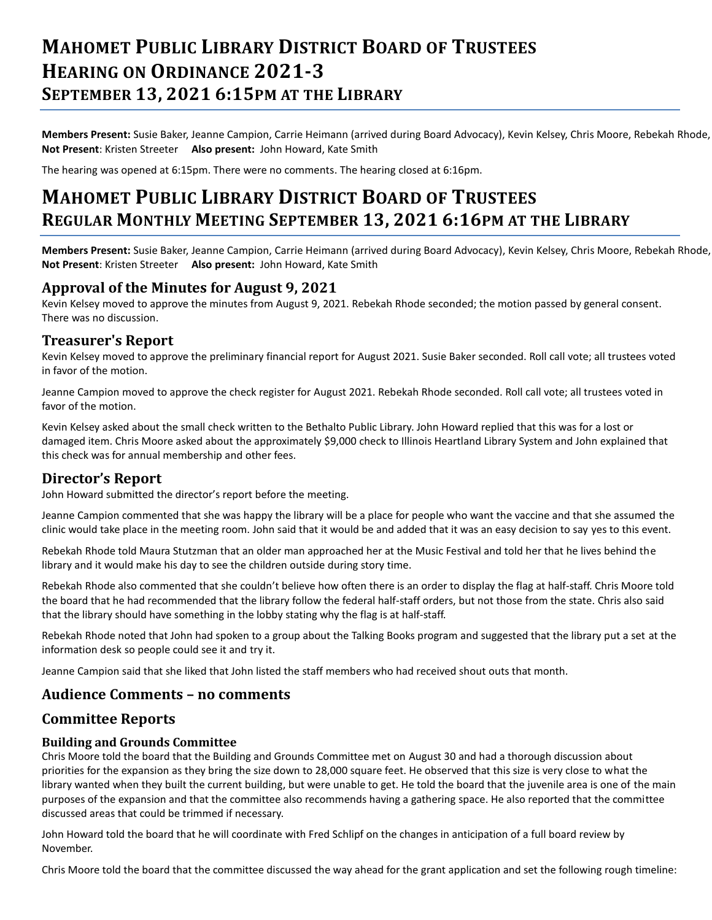# **MAHOMET PUBLIC LIBRARY DISTRICT BOARD OF TRUSTEES HEARING ON ORDINANCE 2021-3 SEPTEMBER 13, 2021 6:15PM AT THE LIBRARY**

**Members Present:** Susie Baker, Jeanne Campion, Carrie Heimann (arrived during Board Advocacy), Kevin Kelsey, Chris Moore, Rebekah Rhode, **Not Present**: Kristen Streeter **Also present:** John Howard, Kate Smith

The hearing was opened at 6:15pm. There were no comments. The hearing closed at 6:16pm.

# **MAHOMET PUBLIC LIBRARY DISTRICT BOARD OF TRUSTEES REGULAR MONTHLY MEETING SEPTEMBER 13, 2021 6:16PM AT THE LIBRARY**

**Members Present:** Susie Baker, Jeanne Campion, Carrie Heimann (arrived during Board Advocacy), Kevin Kelsey, Chris Moore, Rebekah Rhode, **Not Present**: Kristen Streeter **Also present:** John Howard, Kate Smith

## **Approval of the Minutes for August 9, 2021**

Kevin Kelsey moved to approve the minutes from August 9, 2021. Rebekah Rhode seconded; the motion passed by general consent. There was no discussion.

## **Treasurer's Report**

Kevin Kelsey moved to approve the preliminary financial report for August 2021. Susie Baker seconded. Roll call vote; all trustees voted in favor of the motion.

Jeanne Campion moved to approve the check register for August 2021. Rebekah Rhode seconded. Roll call vote; all trustees voted in favor of the motion.

Kevin Kelsey asked about the small check written to the Bethalto Public Library. John Howard replied that this was for a lost or damaged item. Chris Moore asked about the approximately \$9,000 check to Illinois Heartland Library System and John explained that this check was for annual membership and other fees.

# **Director's Report**

John Howard submitted the director's report before the meeting.

Jeanne Campion commented that she was happy the library will be a place for people who want the vaccine and that she assumed the clinic would take place in the meeting room. John said that it would be and added that it was an easy decision to say yes to this event.

Rebekah Rhode told Maura Stutzman that an older man approached her at the Music Festival and told her that he lives behind the library and it would make his day to see the children outside during story time.

Rebekah Rhode also commented that she couldn't believe how often there is an order to display the flag at half-staff. Chris Moore told the board that he had recommended that the library follow the federal half-staff orders, but not those from the state. Chris also said that the library should have something in the lobby stating why the flag is at half-staff.

Rebekah Rhode noted that John had spoken to a group about the Talking Books program and suggested that the library put a set at the information desk so people could see it and try it.

Jeanne Campion said that she liked that John listed the staff members who had received shout outs that month.

### **Audience Comments – no comments**

# **Committee Reports**

#### **Building and Grounds Committee**

Chris Moore told the board that the Building and Grounds Committee met on August 30 and had a thorough discussion about priorities for the expansion as they bring the size down to 28,000 square feet. He observed that this size is very close to what the library wanted when they built the current building, but were unable to get. He told the board that the juvenile area is one of the main purposes of the expansion and that the committee also recommends having a gathering space. He also reported that the committee discussed areas that could be trimmed if necessary.

John Howard told the board that he will coordinate with Fred Schlipf on the changes in anticipation of a full board review by November.

Chris Moore told the board that the committee discussed the way ahead for the grant application and set the following rough timeline: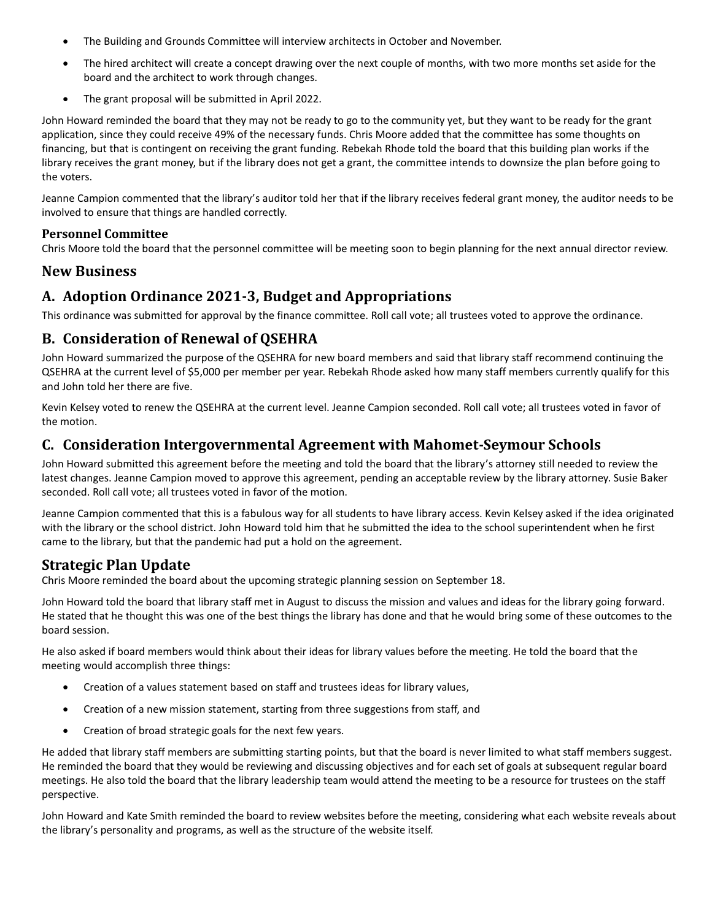- The Building and Grounds Committee will interview architects in October and November.
- The hired architect will create a concept drawing over the next couple of months, with two more months set aside for the board and the architect to work through changes.
- The grant proposal will be submitted in April 2022.

John Howard reminded the board that they may not be ready to go to the community yet, but they want to be ready for the grant application, since they could receive 49% of the necessary funds. Chris Moore added that the committee has some thoughts on financing, but that is contingent on receiving the grant funding. Rebekah Rhode told the board that this building plan works if the library receives the grant money, but if the library does not get a grant, the committee intends to downsize the plan before going to the voters.

Jeanne Campion commented that the library's auditor told her that if the library receives federal grant money, the auditor needs to be involved to ensure that things are handled correctly.

#### **Personnel Committee**

Chris Moore told the board that the personnel committee will be meeting soon to begin planning for the next annual director review.

## **New Business**

# **A. Adoption Ordinance 2021-3, Budget and Appropriations**

This ordinance was submitted for approval by the finance committee. Roll call vote; all trustees voted to approve the ordinance.

# **B. Consideration of Renewal of QSEHRA**

John Howard summarized the purpose of the QSEHRA for new board members and said that library staff recommend continuing the QSEHRA at the current level of \$5,000 per member per year. Rebekah Rhode asked how many staff members currently qualify for this and John told her there are five.

Kevin Kelsey voted to renew the QSEHRA at the current level. Jeanne Campion seconded. Roll call vote; all trustees voted in favor of the motion.

# **C. Consideration Intergovernmental Agreement with Mahomet-Seymour Schools**

John Howard submitted this agreement before the meeting and told the board that the library's attorney still needed to review the latest changes. Jeanne Campion moved to approve this agreement, pending an acceptable review by the library attorney. Susie Baker seconded. Roll call vote; all trustees voted in favor of the motion.

Jeanne Campion commented that this is a fabulous way for all students to have library access. Kevin Kelsey asked if the idea originated with the library or the school district. John Howard told him that he submitted the idea to the school superintendent when he first came to the library, but that the pandemic had put a hold on the agreement.

# **Strategic Plan Update**

Chris Moore reminded the board about the upcoming strategic planning session on September 18.

John Howard told the board that library staff met in August to discuss the mission and values and ideas for the library going forward. He stated that he thought this was one of the best things the library has done and that he would bring some of these outcomes to the board session.

He also asked if board members would think about their ideas for library values before the meeting. He told the board that the meeting would accomplish three things:

- Creation of a values statement based on staff and trustees ideas for library values,
- Creation of a new mission statement, starting from three suggestions from staff, and
- Creation of broad strategic goals for the next few years.

He added that library staff members are submitting starting points, but that the board is never limited to what staff members suggest. He reminded the board that they would be reviewing and discussing objectives and for each set of goals at subsequent regular board meetings. He also told the board that the library leadership team would attend the meeting to be a resource for trustees on the staff perspective.

John Howard and Kate Smith reminded the board to review websites before the meeting, considering what each website reveals about the library's personality and programs, as well as the structure of the website itself.